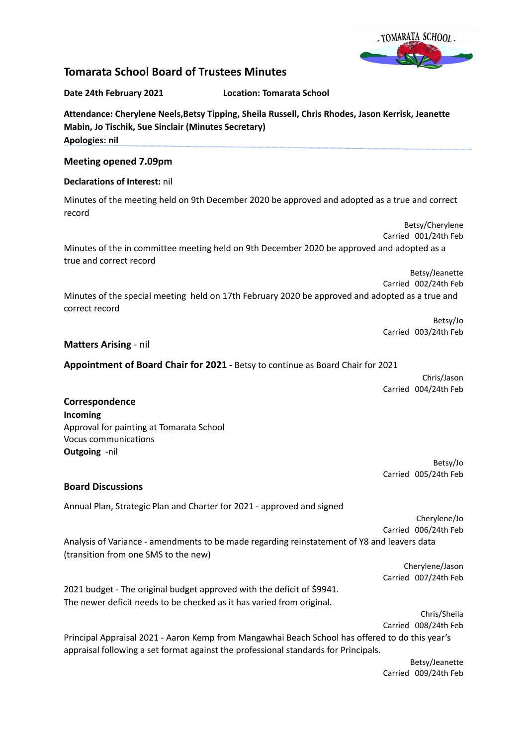

# **Tomarata School Board of Trustees Minutes**

#### **Date 24th February 2021 Location: Tomarata School**

**Attendance: Cherylene Neels,Betsy Tipping, Sheila Russell, Chris Rhodes, Jason Kerrisk, Jeanette**

**Mabin, Jo Tischik, Sue Sinclair (Minutes Secretary) Apologies: nil**

## **Meeting opened 7.09pm**

## **Declarations of Interest:** nil

Minutes of the meeting held on 9th December 2020 be approved and adopted as a true and correct record

Betsy/Cherylene Carried 001/24th Feb Minutes of the in committee meeting held on 9th December 2020 be approved and adopted as a true and correct record

> Betsy/Jeanette Carried 002/24th Feb

Minutes of the special meeting held on 17th February 2020 be approved and adopted as a true and correct record

> Betsy/Jo Carried 003/24th Feb

#### **Matters Arising** - nil

**Appointment of Board Chair for 2021 -** Betsy to continue as Board Chair for 2021

Chris/Jason Carried 004/24th Feb

# **Correspondence Incoming** Approval for painting at Tomarata School Vocus communications **Outgoing** -nil

(transition from one SMS to the new)

Betsy/Jo Carried 005/24th Feb

# **Board Discussions**

Annual Plan, Strategic Plan and Charter for 2021 - approved and signed

Cherylene/Jo Carried 006/24th Feb Analysis of Variance - amendments to be made regarding reinstatement of Y8 and leavers data

> Cherylene/Jason Carried 007/24th Feb

2021 budget - The original budget approved with the deficit of \$9941. The newer deficit needs to be checked as it has varied from original.

> Chris/Sheila Carried 008/24th Feb

Principal Appraisal 2021 - Aaron Kemp from Mangawhai Beach School has offered to do this year's appraisal following a set format against the professional standards for Principals.

> Betsy/Jeanette Carried 009/24th Feb